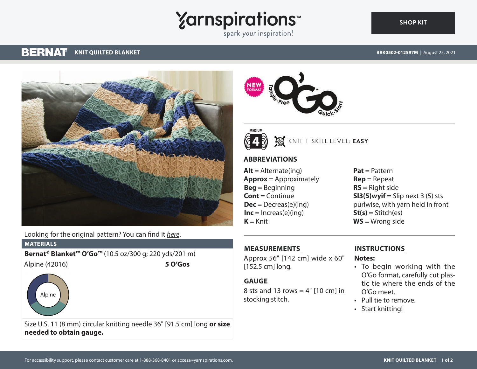# **Yarnspirations**

spark your inspiration!

#### **BERNAT KNIT QUILTED BLANKET**

**[SHOP KIT](https://www.yarnspirations.com/BRK0502-012597M.html#utm_source=pdf-yarnspirations&utm_medium=referral)**



Looking for the original pattern? You can find it *[here](https://www.yarnspirations.com/on/demandware.static/-/Sites-master-catalog-spinrite/default/dw440c242d/PDF/BRK0502-012597M-1.pdf)*.

#### **MATERIALS**

**Bernat® Blanket™ O'Go™** (10.5 oz/300 g; 220 yds/201 m) Alpine (42016) **5 O'Gos**



Size U.S. 11 (8 mm) circular knitting needle 36" [91.5 cm] long **or size needed to obtain gauge.**





KNIT I SKILL LEVEL: **EASY**

## **ABBREVIATIONS**

 $Alt =$  Alternate(ing) **Approx** = Approximately **Beg** = Beginning **Cont** = Continue  $Dec = Decreas(e)(ing)$ **Inc** =  $Inc$  reas(e)(ing)  $K = Knit$ 

**Pat** = Pattern **Rep** = Repeat **RS** = Right side **SI3(5)wyif** = Slip next  $3(5)$  sts purlwise, with yarn held in front **St(s)** = Stitch(es) **WS** = Wrong side

# **MEASUREMENTS**

Approx 56" [142 cm] wide x 60" [152.5 cm] long.

#### **GAUGE**

8 sts and 13 rows  $= 4"$  [10 cm] in stocking stitch.

### **INSTRUCTIONS**

**Notes:**

- To begin working with the O'Go format, carefully cut plastic tie where the ends of the O'Go meet.
- Pull tie to remove.
- Start knitting!